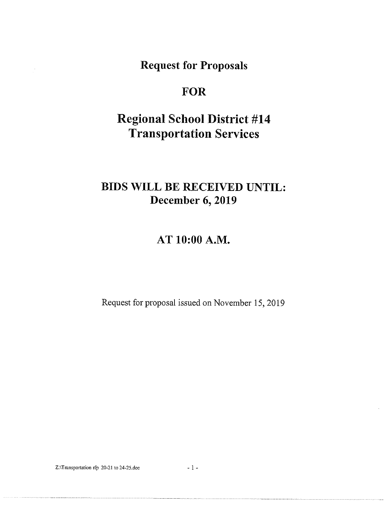Request for Proposals

## **FOR**

# **Regional School District #14 Transportation Services**

## **BIDS WILL BE RECEIVED UNTIL: December 6, 2019**

## **AT 10:00 A.M.**

Request for proposal issued on November 15, 2019

Z:\Transportation rfp 20-21 to 24-25.doc  $-1$  -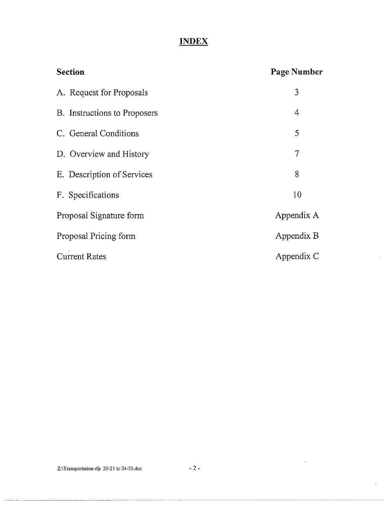## **INDEX**

| <b>Section</b>               | Page Number |
|------------------------------|-------------|
| A. Request for Proposals     | 3           |
| B. Instructions to Proposers | 4           |
| C. General Conditions        | 5           |
| D. Overview and History      | 7           |
| E. Description of Services   | 8           |
| F. Specifications            | 10          |
| Proposal Signature form      | Appendix A  |
| Proposal Pricing form        | Appendix B  |
| <b>Current Rates</b>         | Appendix C  |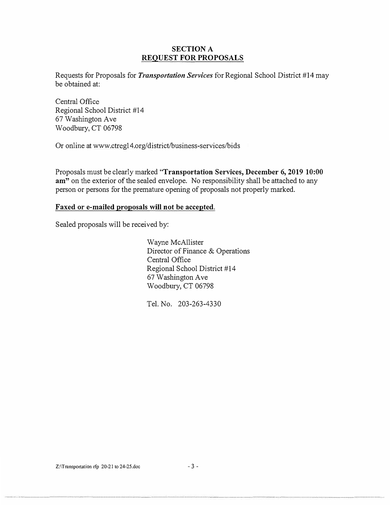#### **SECTION A REQUEST FOR PROPOSALS**

Requests for Proposals for *Transportation Services* for Regional School District #14 may be obtained at:

Central Office Regional School District #14 67 Washington Ave Woodbury, CT 06798

Or online at www.ctreg14.org/district/business-services/bids

Proposals must be clearly marked **"Transportation Services, December 6, 2019 10:00**  am<sup>"</sup> on the exterior of the sealed envelope. No responsibility shall be attached to any person or persons for the premature opening of proposals not properly marked.

#### **Faxed or e-mailed proposals will not be accepted.**

Sealed proposals will be received by:

Wayne McAllister Director of Finance & Operations Central Office Regional School District #14 67 Washington Ave Woodbury, CT 06798

Tel. No. 203-263-4330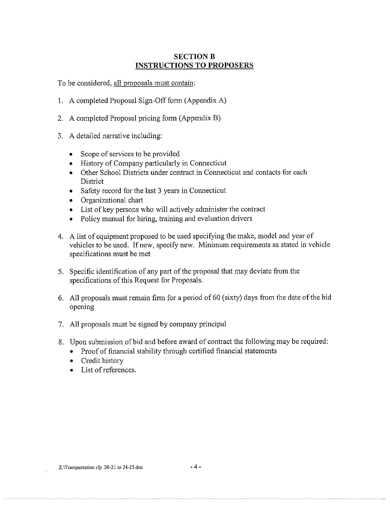#### **SECTION B INSTRUCTIONS TO PROPOSERS**

To be considered, all proposals must contain:

- 1. A completed Proposal Sign-Off form (Appendix A)
- 2. A completed Proposal pricing form (Appendix B)
- 3. A detailed narrative including:
	- Scope of services to be provided
	- History of Company particularly in Connecticut
	- Other School Districts under contract in Connecticut and contacts for each **District**
	- Safety record for the last 3 years in Connecticut
	- Organizational chart
	- List of key persons who will actively administer the contract
	- Policy manual for hiring, training and evaluation drivers
- 4. A list of equipment proposed to be used specifying the make, model and year of vehicles to be used. If new, specify new. Minimum requirements as stated in vehicle specifications must be met
- 5. Specific identification of any part of the proposal that may deviate from the specifications of this Request for Proposals.
- 6. All proposals must remain firm for a period of  $60$  (sixty) days from the date of the bid opening
- 7. All proposals must be signed by company principal
- 8. Upon submission of bid and before award of contract the following may be required:
	- Proof of financial stability through certified financial statements
	- Credit history
	- List of references.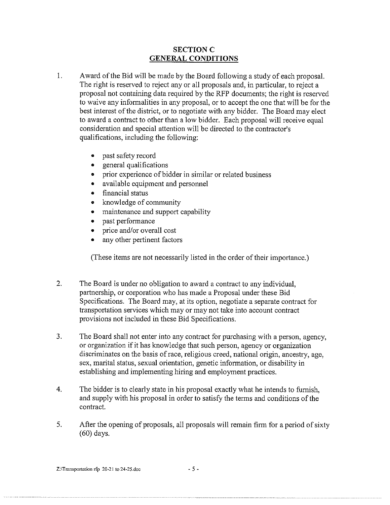#### **SECTION C GENERAL CONDITIONS**

- 1. Award of the Bid will be made by the Board following a study of each proposal. The right is reserved to reject any or all proposals and, in particular, to reject a proposal not containing data required by the RFP documents; the right is reserved to waive any infonnalities in any proposal, or to accept the one that will be for the best interest of the district, or to negotiate with any bidder. The Board may elect to award a contract to other than a low bidder. Each proposal will receive equal consideration and special attention will be directed to the contractor's qualifications, including the following:
	- past safety record
	- general qualifications
	- prior experience of bidder in similar or related business
	- available equipment and personnel
	- financial status
	- knowledge of community
	- maintenance and support capability
	- past performance
	- price and/or overall cost
	- any other pertinent factors

(These items are not necessarily listed in the order of their importance.)

- 2. The Board is under no obligation to award a contract to any individual, partnership, or corporation who has made a Proposal under these Bid Specifications. The Board may, at its option, negotiate a separate contract for transportation services which may or may not take into account contract provisions not included in these Bid Specifications.
- 3. The Board shall not enter into any contract for purchasing with a person, agency, or organization if it has knowledge that such person, agency or organization discriminates on the basis of race, religious creed, national origin, ancestry, age, sex, marital status, sexual orientation, genetic information, or disability in establishing and implementing hiring and employment practices.
- 4. The bidder is to clearly state in his proposal exactly what he intends to furnish, and supply with his proposal in order to satisfy the terms and conditions of the contract.
- 5. After the opening of proposals, all proposals will remain firm for a period of sixty (60) days.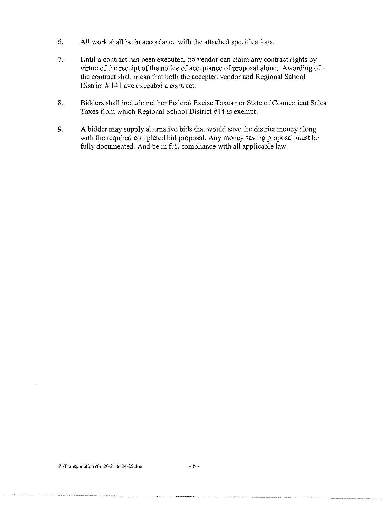- 6. All work shall be in accordance with the attached specifications.
- **7. Until** a contract has been executed, no vendor can claim any contract rights by virtue of the receipt of the notice of acceptance of proposal alone. Awarding of • the contract shall mean that both the accepted vendor and Regional School District # 14 have executed a contract.
- 8. Bidders shall include neither Federal Excise Taxes nor State of Connecticut Sales Taxes from which Regional School District #14 is exempt.
- 9. A bidder may supply alternative bids that would save the district money along with the required completed bid proposal. Any money saving proposal must be fully documented. And be in full compliance with all applicable law.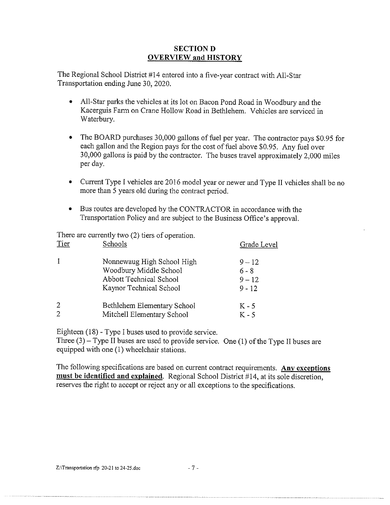#### **SECTION D OVERVIEW and HISTORY**

The Regional School District #14 entered into a five-year contract with All-Star Transportation ending June 30, 2020.

- All-Star parks the vehicles at its lot on Bacon Pond Road in Woodbury and the Kacerguis Farm on Crane Hollow Road in Bethlehem. Vehicles are serviced in Waterbury.
- The BOARD purchases 30,000 gallons of fuel per year. The contractor pays \$0.95 for each gallon and the Region pays for the cost of fuel above \$0.95. Any fuel over 30,000 gallons is paid by the contractor. The buses travel approximately 2,000 miles per day.
- Current Type I vehicles are 2016 model year or newer and Type II vehicles shall be no more than 5 years old during the contract period.
- Bus routes are developed by the CONTRACTOR in accordance with the Transportation Policy and are subject to the Business Office's approval.

There are currently two (2) tiers of operation.

| Tier                             | Schools                                                                                                    | Grade Level                                 |
|----------------------------------|------------------------------------------------------------------------------------------------------------|---------------------------------------------|
|                                  | Nonnewaug High School High<br>Woodbury Middle School<br>Abbott Technical School<br>Kaynor Technical School | $9 - 12$<br>$6 - 8$<br>$9 - 12$<br>$9 - 12$ |
| $\overline{2}$<br>$\overline{2}$ | Bethlehem Elementary School<br>Mitchell Elementary School                                                  | $K - 5$<br>$K - 5$                          |

Eighteen (18) - Type I buses used to provide service.

Three  $(3)$  – Type II buses are used to provide service. One  $(1)$  of the Type II buses are equipped with one (1) wheelchair stations.

The following specifications are based on current contract requirements. Any exceptions **must be identified and explained.** Regional School District #14, at its sole discretion, reserves the right to accept or reject any or all exceptions to the specifications.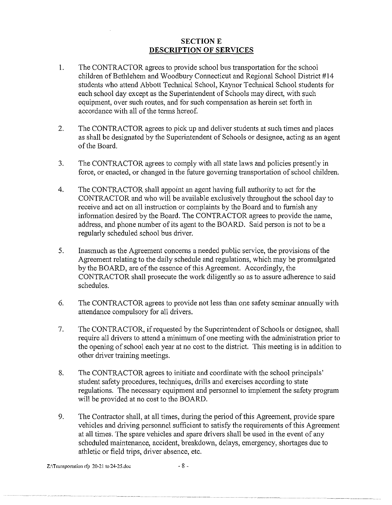#### **SECTIONE DESCRIPTION OF SERVICES**

- I. The CONTRACTOR agrees to provide school bus transportation for the school children of Bethlehem and Woodbury Connecticut and Regional School District #14 students who attend Abbott Technical School, Kaynor Technical School students for each school day except as the Superintendent of Schools may direct, with such equipment, over such routes, and for such compensation as herein set forth in accordance with all of the terms hereof.
- 2. The CONTRACTOR agrees to pick up and deliver students at such times and places as shall be designated by the Superintendent of Schools or designee, acting as an agent of the Board.
- 3. The CONTRACTOR agrees to comply with all state laws and policies presently in force, or enacted, or changed in the future governing transportation of school children.
- 4. The CONTRACTOR shall appoint an agent having full authority to act for the CONTRACTOR and who will be available exclusively throughout the school day to receive and act on all instruction or complaints by the Board and to furnish any information desired by the Board. The CONTRACTOR agrees to provide the name, address, and phone number of its agent to the BOARD. Said person is not to be a regularly scheduled school bus driver.
- 5. Inasmuch as the Agreement concerns a needed public service, the provisions of the Agreement relating to the daily schedule and regulations, which may be promulgated by the BOARD, are of the essence of this Agreement. Accordingly, the CONTRACTOR shall prosecute the work diligently so as to assure adherence to said schedules.
- 6. The CONTRACTOR agrees to provide not less than one safety seminar annually with attendance compulsory for all drivers.
- 7. The CONTRACTOR, ifrequested by the Superintendent of Schools or designee, shall require all drivers to attend a minimum of one meeting with the administration prior to the opening of school each year at no cost to the district. This meeting is in addition to other driver training meetings.
- 8. The CONTRACTOR agrees to initiate and coordinate with the school principals' student safety procedures, techniques, drills and exercises according to state regulations. The necessary equipment and personnel to implement the safety program will be provided at no cost to the BOARD.
- 9. The Contractor shall, at all times, during the period of this Agreement, provide spare vehicles and driving personnel sufficient to satisfy the requirements of this Agreement at all times. The spare vehicles and spare drivers shall be used in the event of any scheduled maintenance, accident, breakdown, delays, emergency, shortages due to athletic or field trips, driver absence, etc.

 $Z:\mathrm{Transportion\;rfp\;20-21}$  to  $24-25.\mathrm{doc}$  - 8 -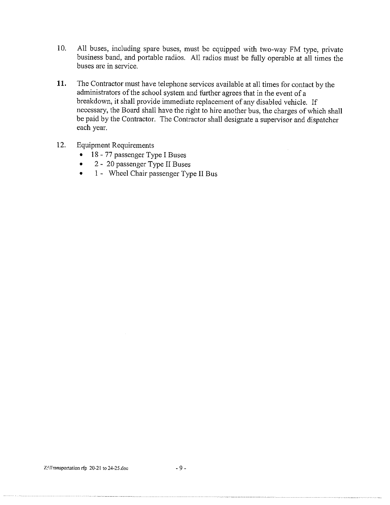- 10. All buses, including spare buses, must be equipped with two-way FM type, private business band, and portable radios. All radios must be fully operable at all times the buses are in service.
- **11.** The Contractor must have telephone services available at all times for contact by the administrators of the school system and further agrees that in the event of a breakdown, it shall provide immediate replacement of any disabled vehicle. If necessary, the Board shall have the right to hire another bus, the charges of which shall be paid by the Contractor. The Contractor shall designate a supervisor and dispatcher each year.
- 12. Equipment Requirements
	- 18 77 passenger Type I Buses
	- 2 20 passenger Type II Buses
	- 1 Wheel Chair passenger Type II Bus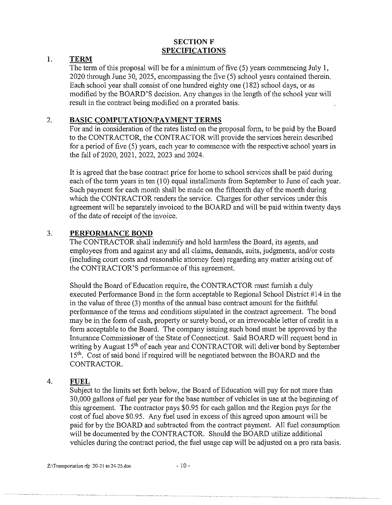#### **SECTIONF SPECIFICATIONS**

#### **1. TERM**

The term of this proposal will be for a minimum of five  $(5)$  years commencing July 1, 2020 through June 30, 2025, encompassing the five (5) school years contained therein. Each school year shall consist of one hundred eighty one (I 82) school days, or as modified by the BOARD'S decision. Any changes in the length of the school year will result in the contract being modified on a prorated basis.

#### 2. **BASIC COMPUTATION/PAYMENT TERMS**

For and in consideration of the rates listed on the proposal form, to be paid by the Board to the CONTRACTOR, the CONTRACTOR will provide the services herein described for a period of five (5) years, each year to commence with the respective school years in the fall of 2020, 2021, 2022, 2023 and 2024.

It is agreed that the base contract price for home to school services shall be paid during each of the term years in ten (10) equal installments from September to June of each year. Such payment for each month shall be made on the fifteenth day of the month during which the CONTRACTOR renders the service. Charges for other services under this agreement will be separately invoiced to the BOARD and will be paid within twenty days of the date of receipt of the invoice.

#### 3. **PERFORMANCE BOND**

The CONTRACTOR shall indemnify and hold harmless the Board, its agents, and employees from and against any and all claims, demands, suits, judgments, and/or costs (including court costs and reasonable attorney fees) regarding any matter arising out of the CONTRACTOR'S performance of this agreement.

Should the Board of Education require, the CONTRACTOR must furnish a duly executed Perfonnance Bond in the form acceptable to Regional School District #14 in the in the value of three (3) months of the annual base contract amount for the faithful performance of the terms and conditions stipulated in the contract agreement. The bond may be in the form of cash, property or surety bond, or an irrevocable letter of credit in a form acceptable to the Board. The company issuing such bond must be approved by the Insurance Commissioner of the State of Connecticut. Said BOARD will request bond in writing by August 15<sup>th</sup> of each year and CONTRACTOR will deliver bond by September 15<sup>th</sup>. Cost of said bond if required will be negotiated between the BOARD and the CONTRACTOR.

#### 4. **FUEL**

Subject to the limits set forth below, the Board of Education will pay for not more than 30,000 gallons of fuel per year for the base number of vehicles in use at the beginning of this agreement. The contractor pays \$0.95 for each gallon and the Region pays for the cost of fuel above \$0.95. Any fuel used in excess of this agreed upon amount will be paid for by the BOARD and subtracted from the contract payment. All fuel consumption will be documented by the CONTRACTOR. Should the BOARD utilize additional vehicles during the contract period, the fuel usage cap will be adjusted on a pro rata basis.

**Z:\Transportation rfp 20-21 lo 24-25.doc**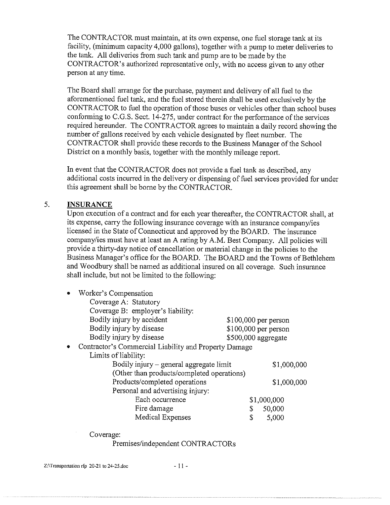The CONTRACTOR must maintain, at its own expense, one fuel storage tank at its facility, (minimum capacity 4,000 gallons), together with a pump to meter deliveries to the tank. All deliveries from such tank and pump are to be made by the CONTRACTOR's authorized representative only, with no access given to any other person at any time.

The Board shall arrange for the purchase, payment and delivery of all fuel to the aforementioned fuel tank, and the fuel stored therein shall be used exclusively by the CONTRACTOR to fuel the operation of those buses or vehicles other than school buses conforming to C.G.S. Sect. 14-275, under contract for the performance of the services required hereunder. The CONTRACTOR agrees to maintain a daily record showing the number of gallons received by each vehicle designated by fleet number. The CONTRACTOR shall provide these records to the Business Manager of the School District on a monthly basis, together with the monthly mileage report.

In event that the CONTRACTOR does not provide a fuel tank as described, any additional costs incurred in the delivery or dispensing of fuel services provided for under this agreement shall be borne by the CONTRACTOR.

#### 5. **INSURANCE**

Upon execution of a contract and for each year thereafter, the CONTRACTOR shall, at its expense, carry the following insurance coverage with an insurance company/ies licensed in the State of Connecticut and approved by the BOARD. The insurance company/ies must have at least an A rating by A.M. Best Company. All policies will provide a thirty-day notice of cancellation or material change in the policies to the Business Manager's office for the BOARD. The BOARD and the Towns of Bethlehem and Woodbury shall be named as additional insured on all coverage. Such insurance shall include, but not be limited to the following:

| ō | Worker's Compensation                                 |    |                       |  |
|---|-------------------------------------------------------|----|-----------------------|--|
|   | Coverage A: Statutory                                 |    |                       |  |
|   | Coverage B: employer's liability:                     |    |                       |  |
|   | Bodily injury by accident                             |    | $$100,000$ per person |  |
|   | Bodily injury by disease                              |    | \$100,000 per person  |  |
|   | Bodily injury by disease                              |    | \$500,000 aggregate   |  |
| ۰ | Contractor's Commercial Liability and Property Damage |    |                       |  |
|   | Limits of liability:                                  |    |                       |  |
|   | Bodily injury - general aggregate limit               |    | \$1,000,000           |  |
|   | (Other than products/completed operations)            |    |                       |  |
|   | Products/completed operations                         |    | \$1,000,000           |  |
|   | Personal and advertising injury:                      |    |                       |  |
|   | Each occurrence                                       |    | \$1,000,000           |  |
|   | Fire damage                                           | S  | 50,000                |  |
|   | Medical Expenses                                      | \$ | 5,000                 |  |

Coverage:

Premises/independent CONTRACTORs

**Z:\Transportation rfp 20-21 to 24-25.doc**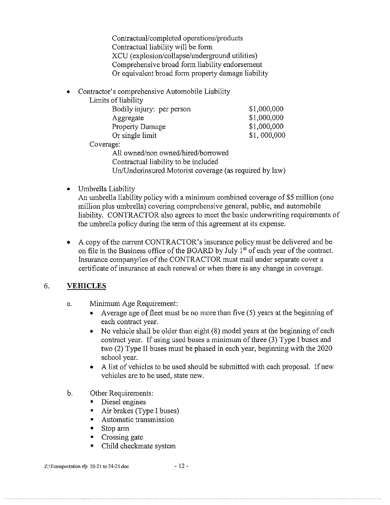Contractual/completed operations/products Contractual liability will be form XCU ( explosion/collapse/underground utilities) Comprehensive broad form liability endorsement Or equivalent broad form property damage liability

• Contractor's comprehensive Automobile Liability

| Limits of liability                                    |             |  |
|--------------------------------------------------------|-------------|--|
| Bodily injury: per person                              | \$1,000,000 |  |
| Aggregate                                              | \$1,000,000 |  |
| Property Damage                                        | \$1,000,000 |  |
| Or single limit                                        | \$1,000,000 |  |
| Coverage:                                              |             |  |
| All owned/non owned/hired/borrowed                     |             |  |
| Contractual liability to be included                   |             |  |
| Un/Underinsured Motorist coverage (as required by law) |             |  |

• Umbrella Liability

An umbrella liability policy with a minimum combined coverage of \$5 million ( one million plus umbrella) covering comprehensive general, public, and automobile liability. CONTRACTOR also agrees to meet the basic underwriting requirements of the umbrella policy during the term of this agreement at its expense.

• A copy of the current CONTRACTOR's insurance policy must be delivered and be on file in the Business office of the BOARD by July 1<sup>st</sup> of each year of the contract. Insurance company/ies of the CONTRACTOR must mail under separate cover a certificate of insurance at each renewal or when there is any change in coverage.

### 6. **VEHICLES**

- a. Minimum Age Requirement:
	- Average age of fleet must be no more than five  $(5)$  years at the beginning of each contract year.
	- No vehicle shall be older than eight (8) model years at the beginning of each contract year. If using used buses a minimum of three  $(3)$  Type I buses and two (2) Type II buses must be phased in each year, beginning with the 2020 school year.
	- A list of vehicles to be used should be submitted with each proposal. If new vehicles are to be used, state new.
- b. Other Requirements:
	- Diesel engines
	- Air brakes (Type I buses)
	- Automatic transmission
	- Stop arm
	- Crossing gate
	- Child checkmate system

**Z:\Transportation rfp 20-21 to 24-25.doc** - 12 -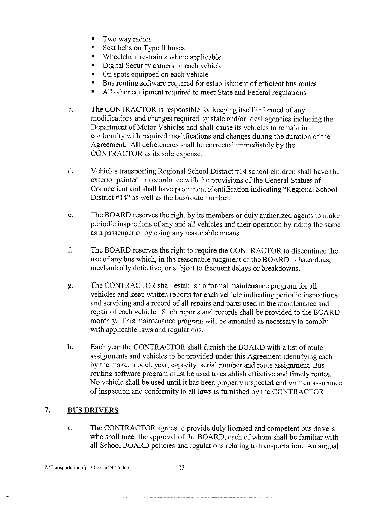- **•** Two way radios
- Seat belts on Type II buses
- Wheelchair restraints where applicable
- Digital Security camera in each vehicle
- On spots equipped on each vehicle
- Bus routing software required for establishment of efficient bus routes<br>■ All other equipment required to meet State and Federal requisions
- All other equipment required to meet State and Federal regulations
- c. The CONTRACTOR is responsible for keeping itself infonned of any modifications and changes required by state and/or local agencies including the Department of Motor Vehicles and shall cause its vehicles to remain in conformity with required modifications and changes during the duration of the Agreement. All deficiencies shall be corrected immediately by the CONTRACTOR as its sole expense.
- d. Vehicles transporting Regional School District #14 school children shall have the exterior painted in accordance with the provisions of the General Statues of Connecticut and shall have prominent identification indicating "Regional School District #14" as well as the bus/route number.
- e. The BOARD reserves the right by its members or duly authorized agents to make periodic inspections of any and all vehicles and their operation by riding the same as a passenger or by using any reasonable means.
- f. The BOARD reserves the right to require the CONTRACTOR to discontinue the use of any bus which, in the reasonable judgment of the BOARD is hazardous, mechanically defective, or subject to frequent delays or breakdowns.
- g. The CONTRACTOR shall establish a formal maintenance program for all vehicles and keep written reports for each vehicle indicating periodic inspections and servicing and a record of all repairs and parts used in the maintenance and repair of each vehicle. Such reports and records shall be provided to the BOARD monthly. This maintenance program will be amended as necessary to comply with applicable laws and regulations.
- h. Each year the CONTRACTOR shall furnish the BOARD with a list of route assignments and vehicles to be provided under this Agreement identifying each by the make, model, year, capacity, serial number and route assignment. Bus routing software program must be used to establish effective and timely routes. No vehicle shall be used until it has been properly inspected and written assurance ofinspection and conformity to all laws is furnished by the CONTRACTOR.

### 7. **BUS DRIVERS**

a. The CONTRACTOR agrees to provide duly licensed and competent bus drivers who shall meet the approval of the BOARD, each of whom shall be familiar with all School BOARD policies and regulations relating to transportation. An annual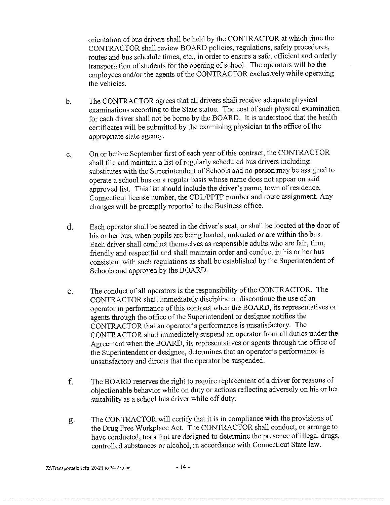orientation of bus drivers shall be held by the CONTRACTOR at which time the CONTRACTOR shall review BOARD policies, regulations, safety procedures, routes and bus schedule times, etc., in order to ensure a safe, efficient and orderly transportation of students for the opening of school. The operators will be the employees and/or the agents of the CONTRACTOR exclusively while operating the vehicles.

- b. The CONTRACTOR agrees that all drivers shall receive adequate physical examinations according to the State statue. The cost of such physical examination for each driver shall not be borne by the BOARD. It is understood that the health certificates will be submitted by the examining physician to the office of the appropnate state agency.
- c. On or before September first of each year of this contract, the CONTRACTOR shall file and maintain a list of regularly scheduled bus drivers including substitutes with the Superintendent of Schools and no person may be assigned to operate a school bus on a regular basis whose name does not appear on said approved list. This list should include the driver's name, town of residence, Connecticut license number, the CDL/PPTP number and route assignment. Any changes will be promptly reported to the Business office.
- d. Each operator shall be seated in the driver's seat, or shall be located at the door of his or her bus, when pupils are being loaded, unloaded or are within the bus. Each driver shall conduct themselves as responsible adults who are fair, finn, friendly and respectful and shall maintain order and conduct in his or her bus consistent with such regulations as shall be established by the Superintendent of Schools and approved by the BOARD.
- e. The conduct of all operators is the responsibility of the CONTRACTOR. The CONTRACTOR shall immediately discipline or discontinue the use of an operator in perfonnance of this contract when the BOARD, its representatives or agents through the office of the Superintendent or designee notifies the CONTRACTOR that an operator's performance is unsatisfactory. The CONTRACTOR shall innnediately suspend an operator from all duties under the Agreement when the BOARD, its representatives or agents through the office of the Superintendent or designee, determines that an operator's performance is unsatisfactory and directs that the operator be suspended.
- f. The BOARD reserves the right to require replacement of a driver for reasons of objectionable behavior while on duty or actions reflecting adversely on his or her suitability as a school bus driver while off duty.
- g. The CONTRACTOR will certify that it is in compliance with the provisions of the Drug Free Workplace Act. The CONTRACTOR shall conduct, or arrange to have conducted, tests that are designed to determine the presence of illegal drugs, controlled substances or alcohol, in accordance with Connecticut State law.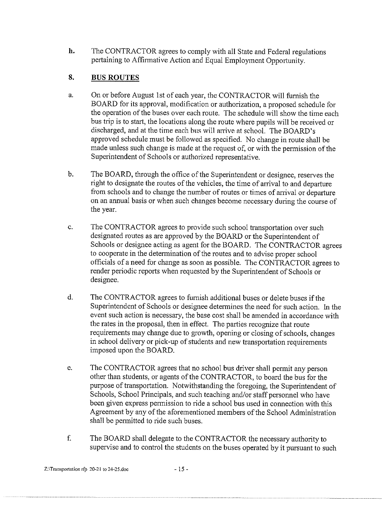**h.** The CONTRACTOR agrees to comply with all State and Federal regulations pertaining to Affirmative Action and Equal Employment Opportunity.

### **8. BUS ROUTES**

- a. On or before August 1st of each year, the CONTRACTOR will furnish the BOARD for its approval, modification or authorization, a proposed schedule for the operation of the buses over each route. The schedule will show the time each bus trip is to start, the locations along the route where pupils will be received or discharged, and at the time each bus will arrive at school. The BOARD's approved schedule must be followed as specified. No change in route shall be made unless such change is made at the request of, or with the permission of the Superintendent of Schools or authorized representative.
- b. The BOARD, through the office of the Superintendent or designee, reserves the right to designate the routes of the vehicles, the time of arrival to and departure from schools and to change the number of routes or times of arrival or departure on an annual basis or when such changes become necessary during the course of the year.
- c. The CONTRACTOR agrees to provide such school transportation over such designated routes as are approved by the BOARD or the Superintendent of Schools or designee acting as agent for the BOARD. The CONTRACTOR agrees to cooperate in the determination of the routes and to advise proper school officials of a need for change as soon as possible. The CONTRACTOR agrees to render periodic reports when requested by the Superintendent of Schools or designee.
- d. The CONTRACTOR agrees to furnish additional buses or delete buses if the Superintendent of Schools or designee detennines the need for such action. In the event such action is necessary, the base cost shall be amended in accordance with the rates in the proposal, then in effect. The parties recognize that route requirements may change due to growth, opening or closing of schools, changes in school delivery or pick-up of students and new transportation requirements imposed upon the BOARD.
- e. The CONTRACTOR agrees that no school bus driver shall permit any person other than students, or agents of the CONTRACTOR, to board the bus for the purpose of transportation. Notwithstanding the foregoing, the Superintendent of Schools, School Principals, and such teaching and/or staff personnel who have been given express permission to ride a school bus used in connection with this Agreement by any of the aforementioned members of the School Administration shall be permitted to ride such buses.
- f. The BOARD shall delegate to the CONTRACTOR the necessary authority to supervise and to control the students on the buses operated by it pursuant to such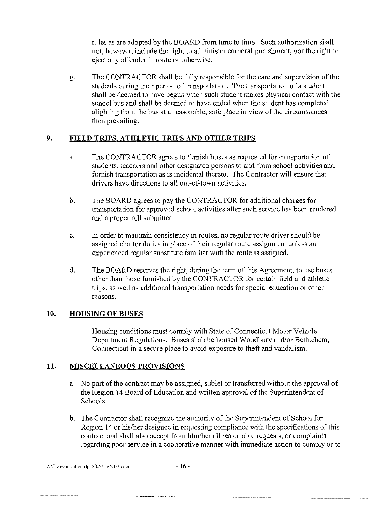rules as are adopted by the BOARD from time to time. Such authorization shall not, however, include the right to administer corporal punishment, nor the right to eject any offender in route or otherwise.

g. The CONTRACTOR shall be fully responsible for the care and supervision ofthe students during their period of transportation. The transportation of a student shall be deemed to have begun when such student makes physical contact with the school bus and shall be deemed to have ended when the student has completed alighting from the bus at a reasonable, safe place in view of the circumstances then prevailing.

#### **9. FIELD TRIPS, ATHLETIC TRIPS AND OTHER TRIPS**

- a. The CONTRACTOR agrees to furnish buses as requested for transportation of students, teachers and other designated persons to and from school activities and furnish transportation as is incidental thereto. The Contractor will ensure that drivers have directions to all out-of-town activities.
- b. The BOARD agrees to pay the CONTRACTOR for additional charges for transportation for approved school activities after such service has been rendered and a proper bill submitted.
- c. In order to maintain consistency in routes, no regular route driver should be assigned charter duties in place of their regular route assignment unless an experienced regular substitute familiar with the route is assigned.
- d. The BOARD reserves the right, during the term of this Agreement, to use buses other than those furnished by the CONTRACTOR for certain field and athletic trips, as well as additional transportation needs for special education or other reasons.

#### **10. HOUSING OF BUSES**

Housing conditions must comply with State of Connecticut Motor Vehicle Department Regulations. Buses shall be housed Woodbury and/or Bethlehem, Connecticut in a secure place to avoid exposure to theft and vandalism.

#### **11. MISCELLANEOUS PROVISIONS**

- a. No part of the contract may be assigned, sublet or transferred without the approval of the Region 14 Board of Education and written approval of the Superintendent of Schools.
- b. The Contractor shall recognize the authority of the Superintendent of School for Region 14 or his/her designee in requesting compliance with the specifications of this contract and shall also accept from him/her all reasonable requests, or complaints regarding poor service in a cooperative manner with immediate action to comply or to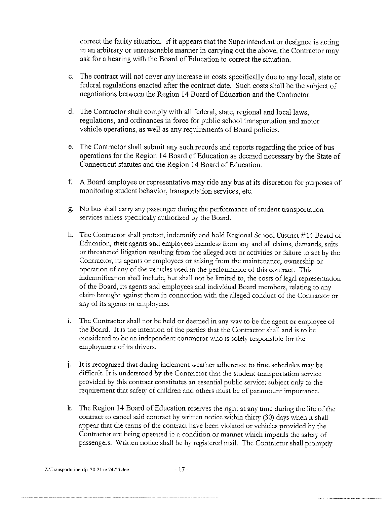correct the faulty situation. If it appears that the Superintendent or designee is acting in an arbitrary or unreasonable manner in carrying out the above, the Contractor may ask for a hearing with the Board of Education to correct the situation.

- c. The contract will not cover any increase in costs specifically due to any local, state or federal regulations enacted after the contract date. Such costs shall be the subject of negotiations between the Region 14 Board of Education and the Contractor.
- d. The Contractor shall comply with all federal, state, regional and local laws, regulations, and ordinances in force for public school transportation and motor vehicle operations, as well as any requirements of Board policies.
- e. The Contractor shall submit any such records and reports regarding the price of bus operations for the Region 14 Board of Education as deemed necessary by the State of Connecticut statutes and the Region 14 Board of Education.
- f. A Board employee or representative may ride any bus at its discretion for purposes of monitoring student behavior, transportation services, etc.
- g. No bus shall carry any passenger during the performance of student transportation services unless specifically authorized by the Board.
- h. The Contractor shall protect, indemnify and hold Regional School District #14 Board of Education, their agents and employees harmless from any and all claims, demands, suits or threatened litigation resulting from the alleged acts or activities or failure to act by the Contractor, its agents or employees or arising from the maintenance, ownership or operation of any of the vehicles used in the performance of this contract. This indemnification shall include, but shall not be limited to, the costs of legal representation of the Board, its agents and employees and individual Board members, relating to any claim brought against them in connection with the alleged conduct of the Contractor or any of its agents or employees.
- 1. The Contractor shall not be held or deemed in any way to be the agent or employee of the Board. It is the intention of the parties that the Contractor shall and is to be considered to be an independent contractor who is solely responsible for the employment of its drivers.
- J. It is recognized that during inclement weather adherence to time schedules may be difficult. It is understood by the Contractor that the student transportation service provided by this contract constitutes an essential public service; subject only to the requirement that safety of children and others must be of paramount importance.
- k. The Region 14 Board of Education reserves the right at any time during the life of the contract to cancel said contract by written notice within thirty (30) days when it shall appear that the terms of the contract have been violated or vehicles provided by the Contractor are being operated in a condition or manner which imperils the safety of passengers. Written notice shall be by registered mail. The Contractor shall promptly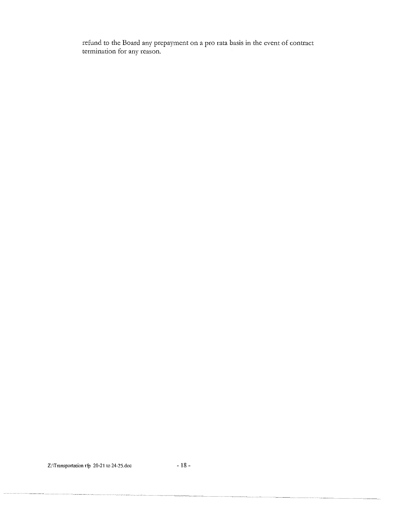refund to the Board any prepayment on a pro rata basis in the event of contract termination for any reason.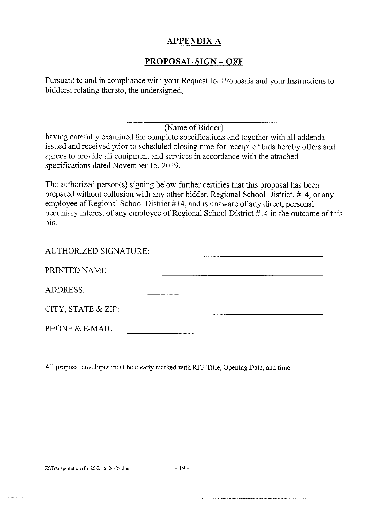## **APPENDIX A**

## **PROPOSAL SIGN - OFF**

Pursuant to and in compliance with your Request for Proposals and your Instructions to bidders; relating thereto, the undersigned,

{Name of Bidder}

having carefully examined the complete specifications and together with all addenda issued and received prior to scheduled closing time for receipt of bids hereby offers and agrees to provide all equipment and services in accordance with the attached specifications dated November 15, 2019.

The authorized person(s) signing below further certifies that this proposal has been prepared without collusion with any other bidder, Regional School District, #14, or any employee of Regional School District #14, and is unaware of any direct, personal pecuniary interest of any employee of Regional School District  $#14$  in the outcome of this bid.

| <b>AUTHORIZED SIGNATURE:</b> |  |
|------------------------------|--|
| PRINTED NAME                 |  |
| ADDRESS:                     |  |
| CITY, STATE & ZIP:           |  |
| PHONE & E-MAIL:              |  |

All proposal envelopes must be clearly marked with RFP Title, Opening Date, and time.